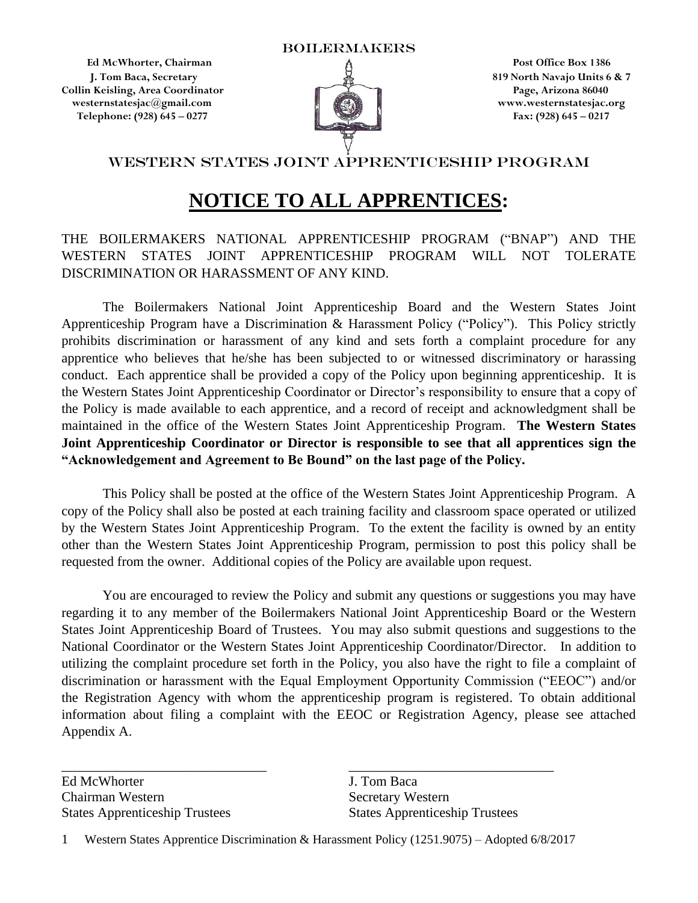**Ed McWhorter, Chairman 2008 Post Office Box 1386 Collin Keisling, Area Coordinator Page, Arizona 86040 westernstatesjac@gmail.com www.westernstatesjac.org Telephone: (928) 645 – 0277 Fax: (928) 645 – 0217**



**1. Tom Baca, Secretary 1. In the Secretary 1. In the Secretary 1. In the Secretary 1. In the Secretary 1. In the Secretary 1. In the Secretary 1. In the Secretary 1. In the Secretary 1. In the Secretary 1. In the Secretar** 

## WESTERN STATES JOINT APPRENTICESHIP PROGRAM

# **NOTICE TO ALL APPRENTICES:**

## THE BOILERMAKERS NATIONAL APPRENTICESHIP PROGRAM ("BNAP") AND THE WESTERN STATES JOINT APPRENTICESHIP PROGRAM WILL NOT TOLERATE DISCRIMINATION OR HARASSMENT OF ANY KIND.

The Boilermakers National Joint Apprenticeship Board and the Western States Joint Apprenticeship Program have a Discrimination & Harassment Policy ("Policy"). This Policy strictly prohibits discrimination or harassment of any kind and sets forth a complaint procedure for any apprentice who believes that he/she has been subjected to or witnessed discriminatory or harassing conduct. Each apprentice shall be provided a copy of the Policy upon beginning apprenticeship. It is the Western States Joint Apprenticeship Coordinator or Director's responsibility to ensure that a copy of the Policy is made available to each apprentice, and a record of receipt and acknowledgment shall be maintained in the office of the Western States Joint Apprenticeship Program. **The Western States Joint Apprenticeship Coordinator or Director is responsible to see that all apprentices sign the "Acknowledgement and Agreement to Be Bound" on the last page of the Policy.**

This Policy shall be posted at the office of the Western States Joint Apprenticeship Program. A copy of the Policy shall also be posted at each training facility and classroom space operated or utilized by the Western States Joint Apprenticeship Program. To the extent the facility is owned by an entity other than the Western States Joint Apprenticeship Program, permission to post this policy shall be requested from the owner. Additional copies of the Policy are available upon request.

You are encouraged to review the Policy and submit any questions or suggestions you may have regarding it to any member of the Boilermakers National Joint Apprenticeship Board or the Western States Joint Apprenticeship Board of Trustees. You may also submit questions and suggestions to the National Coordinator or the Western States Joint Apprenticeship Coordinator/Director. In addition to utilizing the complaint procedure set forth in the Policy, you also have the right to file a complaint of discrimination or harassment with the Equal Employment Opportunity Commission ("EEOC") and/or the Registration Agency with whom the apprenticeship program is registered. To obtain additional information about filing a complaint with the EEOC or Registration Agency, please see attached Appendix A.

Ed McWhorter **J. Tom Baca** Chairman Western Secretary Western States Apprenticeship Trustees States Apprenticeship Trustees

1 Western States Apprentice Discrimination & Harassment Policy (1251.9075) – Adopted 6/8/2017

\_\_\_\_\_\_\_\_\_\_\_\_\_\_\_\_\_\_\_\_\_\_\_\_\_\_\_\_\_\_ \_\_\_\_\_\_\_\_\_\_\_\_\_\_\_\_\_\_\_\_\_\_\_\_\_\_\_\_\_\_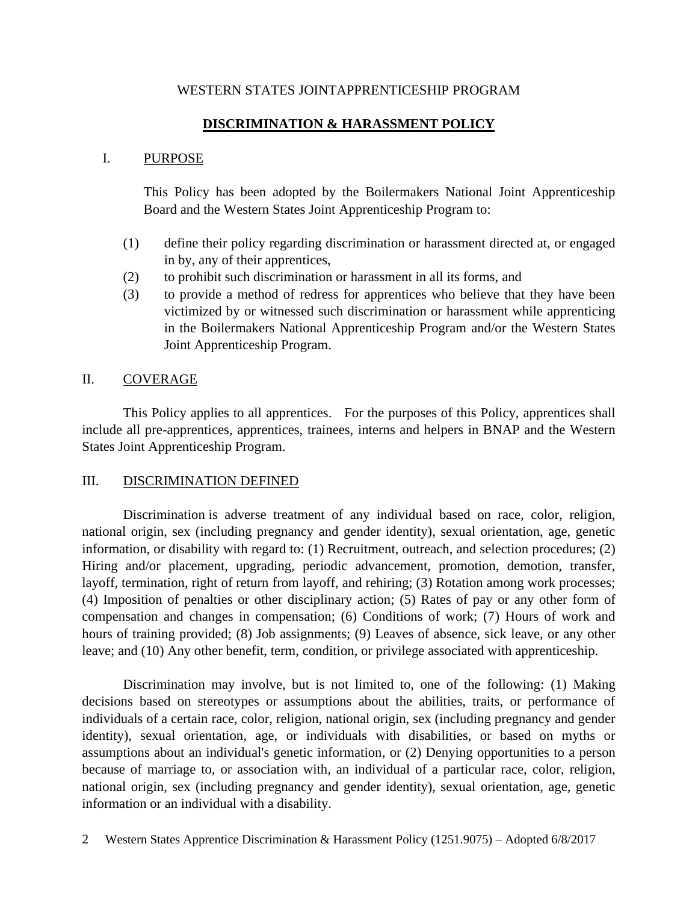#### WESTERN STATES JOINTAPPRENTICESHIP PROGRAM

### **DISCRIMINATION & HARASSMENT POLICY**

#### I. PURPOSE

This Policy has been adopted by the Boilermakers National Joint Apprenticeship Board and the Western States Joint Apprenticeship Program to:

- (1) define their policy regarding discrimination or harassment directed at, or engaged in by, any of their apprentices,
- (2) to prohibit such discrimination or harassment in all its forms, and
- (3) to provide a method of redress for apprentices who believe that they have been victimized by or witnessed such discrimination or harassment while apprenticing in the Boilermakers National Apprenticeship Program and/or the Western States Joint Apprenticeship Program.

#### II. COVERAGE

This Policy applies to all apprentices. For the purposes of this Policy, apprentices shall include all pre-apprentices, apprentices, trainees, interns and helpers in BNAP and the Western States Joint Apprenticeship Program.

#### III. DISCRIMINATION DEFINED

Discrimination is adverse treatment of any individual based on race, color, religion, national origin, sex (including pregnancy and gender identity), sexual orientation, age, genetic information, or disability with regard to: (1) Recruitment, outreach, and selection procedures; (2) Hiring and/or placement, upgrading, periodic advancement, promotion, demotion, transfer, layoff, termination, right of return from layoff, and rehiring; (3) Rotation among work processes; (4) Imposition of penalties or other disciplinary action; (5) Rates of pay or any other form of compensation and changes in compensation; (6) Conditions of work; (7) Hours of work and hours of training provided; (8) Job assignments; (9) Leaves of absence, sick leave, or any other leave; and (10) Any other benefit, term, condition, or privilege associated with apprenticeship.

Discrimination may involve, but is not limited to, one of the following: (1) Making decisions based on stereotypes or assumptions about the abilities, traits, or performance of individuals of a certain race, color, religion, national origin, sex (including pregnancy and gender identity), sexual orientation, age, or individuals with disabilities, or based on myths or assumptions about an individual's genetic information, or (2) Denying opportunities to a person because of marriage to, or association with, an individual of a particular race, color, religion, national origin, sex (including pregnancy and gender identity), sexual orientation, age, genetic information or an individual with a disability.

<sup>2</sup> Western States Apprentice Discrimination & Harassment Policy (1251.9075) – Adopted 6/8/2017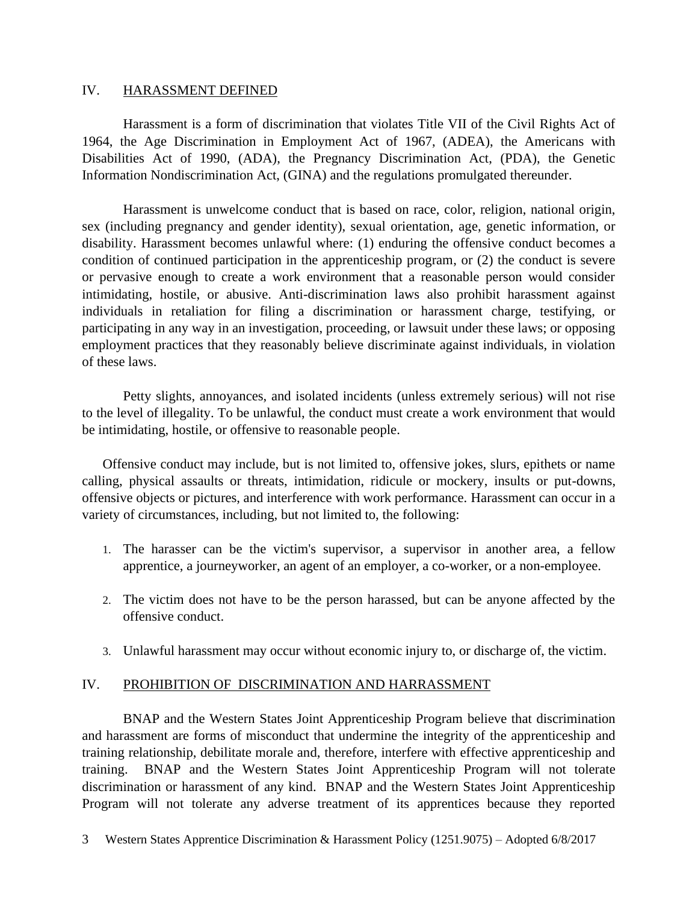#### IV. HARASSMENT DEFINED

Harassment is a form of discrimination that violates Title VII of the Civil Rights Act of 1964, the Age Discrimination in Employment Act of 1967, (ADEA), the Americans with Disabilities Act of 1990, (ADA), the Pregnancy Discrimination Act, (PDA), the Genetic Information Nondiscrimination Act, (GINA) and the regulations promulgated thereunder.

Harassment is unwelcome conduct that is based on race, color, religion, national origin, sex (including pregnancy and gender identity), sexual orientation, age, genetic information, or disability. Harassment becomes unlawful where: (1) enduring the offensive conduct becomes a condition of continued participation in the apprenticeship program, or (2) the conduct is severe or pervasive enough to create a work environment that a reasonable person would consider intimidating, hostile, or abusive. Anti-discrimination laws also prohibit harassment against individuals in retaliation for filing a discrimination or harassment charge, testifying, or participating in any way in an investigation, proceeding, or lawsuit under these laws; or opposing employment practices that they reasonably believe discriminate against individuals, in violation of these laws.

Petty slights, annoyances, and isolated incidents (unless extremely serious) will not rise to the level of illegality. To be unlawful, the conduct must create a work environment that would be intimidating, hostile, or offensive to reasonable people.

Offensive conduct may include, but is not limited to, offensive jokes, slurs, epithets or name calling, physical assaults or threats, intimidation, ridicule or mockery, insults or put-downs, offensive objects or pictures, and interference with work performance. Harassment can occur in a variety of circumstances, including, but not limited to, the following:

- 1. The harasser can be the victim's supervisor, a supervisor in another area, a fellow apprentice, a journeyworker, an agent of an employer, a co-worker, or a non-employee.
- 2. The victim does not have to be the person harassed, but can be anyone affected by the offensive conduct.
- 3. Unlawful harassment may occur without economic injury to, or discharge of, the victim.

#### IV. PROHIBITION OF DISCRIMINATION AND HARRASSMENT

BNAP and the Western States Joint Apprenticeship Program believe that discrimination and harassment are forms of misconduct that undermine the integrity of the apprenticeship and training relationship, debilitate morale and, therefore, interfere with effective apprenticeship and training. BNAP and the Western States Joint Apprenticeship Program will not tolerate discrimination or harassment of any kind. BNAP and the Western States Joint Apprenticeship Program will not tolerate any adverse treatment of its apprentices because they reported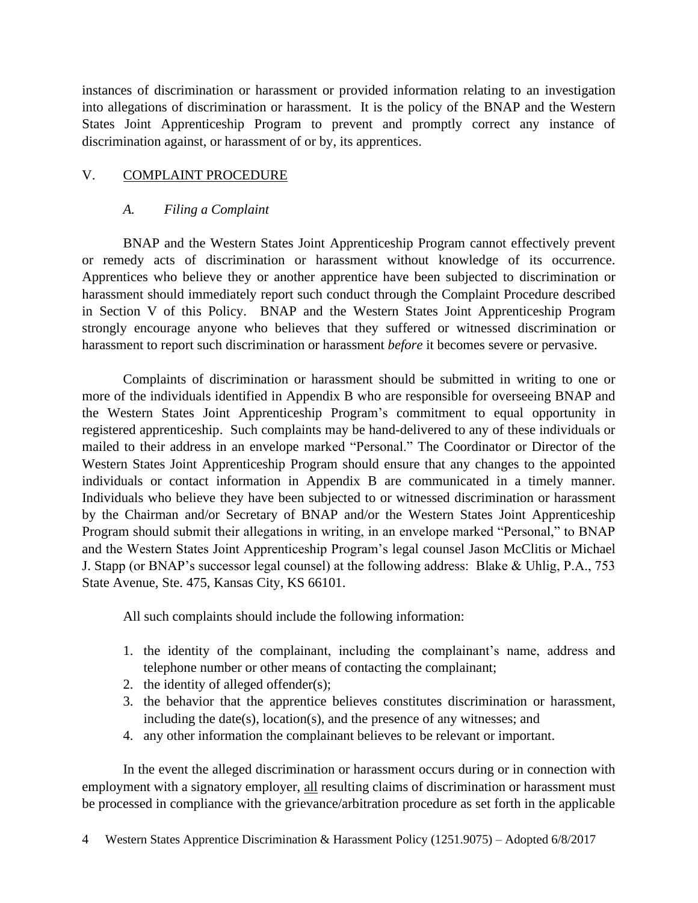instances of discrimination or harassment or provided information relating to an investigation into allegations of discrimination or harassment. It is the policy of the BNAP and the Western States Joint Apprenticeship Program to prevent and promptly correct any instance of discrimination against, or harassment of or by, its apprentices.

## V. COMPLAINT PROCEDURE

## *A. Filing a Complaint*

BNAP and the Western States Joint Apprenticeship Program cannot effectively prevent or remedy acts of discrimination or harassment without knowledge of its occurrence. Apprentices who believe they or another apprentice have been subjected to discrimination or harassment should immediately report such conduct through the Complaint Procedure described in Section V of this Policy. BNAP and the Western States Joint Apprenticeship Program strongly encourage anyone who believes that they suffered or witnessed discrimination or harassment to report such discrimination or harassment *before* it becomes severe or pervasive.

Complaints of discrimination or harassment should be submitted in writing to one or more of the individuals identified in Appendix B who are responsible for overseeing BNAP and the Western States Joint Apprenticeship Program's commitment to equal opportunity in registered apprenticeship. Such complaints may be hand-delivered to any of these individuals or mailed to their address in an envelope marked "Personal." The Coordinator or Director of the Western States Joint Apprenticeship Program should ensure that any changes to the appointed individuals or contact information in Appendix B are communicated in a timely manner. Individuals who believe they have been subjected to or witnessed discrimination or harassment by the Chairman and/or Secretary of BNAP and/or the Western States Joint Apprenticeship Program should submit their allegations in writing, in an envelope marked "Personal," to BNAP and the Western States Joint Apprenticeship Program's legal counsel Jason McClitis or Michael J. Stapp (or BNAP's successor legal counsel) at the following address: Blake & Uhlig, P.A., 753 State Avenue, Ste. 475, Kansas City, KS 66101.

All such complaints should include the following information:

- 1. the identity of the complainant, including the complainant's name, address and telephone number or other means of contacting the complainant;
- 2. the identity of alleged offender(s);
- 3. the behavior that the apprentice believes constitutes discrimination or harassment, including the date(s), location(s), and the presence of any witnesses; and
- 4. any other information the complainant believes to be relevant or important.

In the event the alleged discrimination or harassment occurs during or in connection with employment with a signatory employer, all resulting claims of discrimination or harassment must be processed in compliance with the grievance/arbitration procedure as set forth in the applicable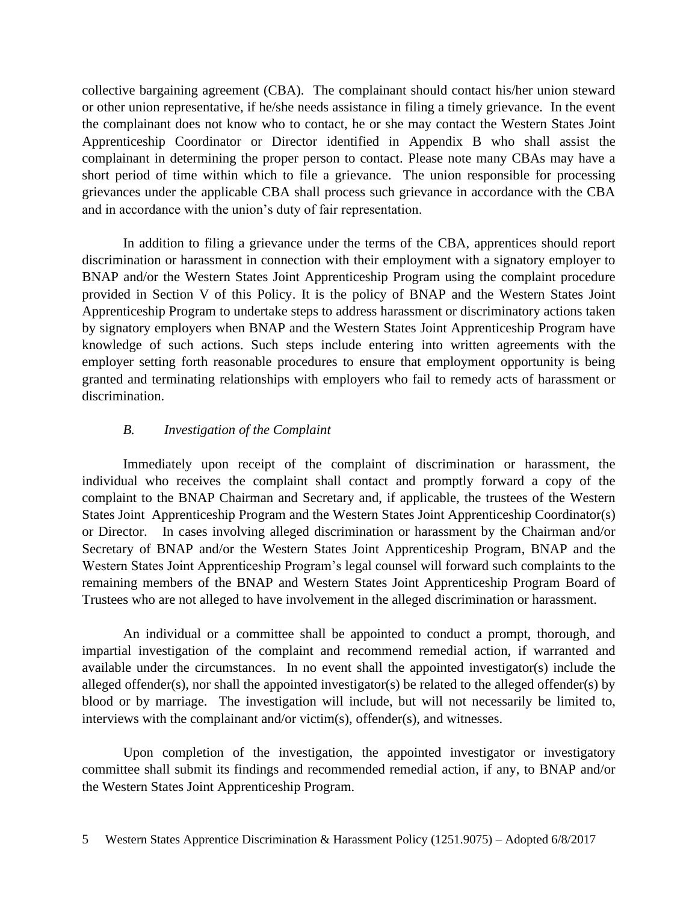collective bargaining agreement (CBA). The complainant should contact his/her union steward or other union representative, if he/she needs assistance in filing a timely grievance. In the event the complainant does not know who to contact, he or she may contact the Western States Joint Apprenticeship Coordinator or Director identified in Appendix B who shall assist the complainant in determining the proper person to contact. Please note many CBAs may have a short period of time within which to file a grievance. The union responsible for processing grievances under the applicable CBA shall process such grievance in accordance with the CBA and in accordance with the union's duty of fair representation.

In addition to filing a grievance under the terms of the CBA, apprentices should report discrimination or harassment in connection with their employment with a signatory employer to BNAP and/or the Western States Joint Apprenticeship Program using the complaint procedure provided in Section V of this Policy. It is the policy of BNAP and the Western States Joint Apprenticeship Program to undertake steps to address harassment or discriminatory actions taken by signatory employers when BNAP and the Western States Joint Apprenticeship Program have knowledge of such actions. Such steps include entering into written agreements with the employer setting forth reasonable procedures to ensure that employment opportunity is being granted and terminating relationships with employers who fail to remedy acts of harassment or discrimination.

## *B. Investigation of the Complaint*

Immediately upon receipt of the complaint of discrimination or harassment, the individual who receives the complaint shall contact and promptly forward a copy of the complaint to the BNAP Chairman and Secretary and, if applicable, the trustees of the Western States Joint Apprenticeship Program and the Western States Joint Apprenticeship Coordinator(s) or Director. In cases involving alleged discrimination or harassment by the Chairman and/or Secretary of BNAP and/or the Western States Joint Apprenticeship Program, BNAP and the Western States Joint Apprenticeship Program's legal counsel will forward such complaints to the remaining members of the BNAP and Western States Joint Apprenticeship Program Board of Trustees who are not alleged to have involvement in the alleged discrimination or harassment.

An individual or a committee shall be appointed to conduct a prompt, thorough, and impartial investigation of the complaint and recommend remedial action, if warranted and available under the circumstances. In no event shall the appointed investigator(s) include the alleged offender(s), nor shall the appointed investigator(s) be related to the alleged offender(s) by blood or by marriage. The investigation will include, but will not necessarily be limited to, interviews with the complainant and/or victim(s), offender(s), and witnesses.

Upon completion of the investigation, the appointed investigator or investigatory committee shall submit its findings and recommended remedial action, if any, to BNAP and/or the Western States Joint Apprenticeship Program.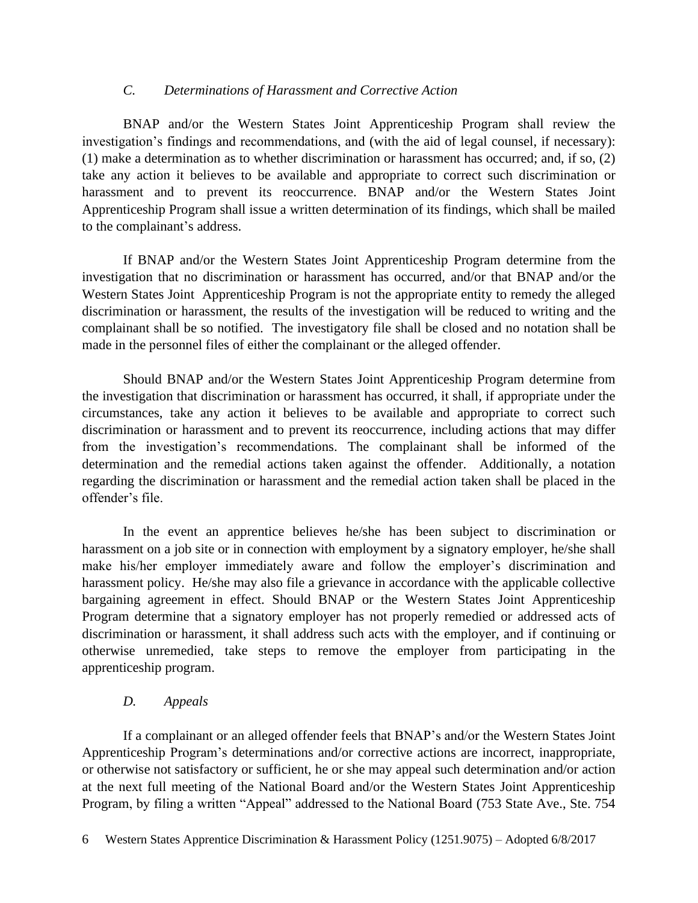## *C. Determinations of Harassment and Corrective Action*

BNAP and/or the Western States Joint Apprenticeship Program shall review the investigation's findings and recommendations, and (with the aid of legal counsel, if necessary): (1) make a determination as to whether discrimination or harassment has occurred; and, if so, (2) take any action it believes to be available and appropriate to correct such discrimination or harassment and to prevent its reoccurrence. BNAP and/or the Western States Joint Apprenticeship Program shall issue a written determination of its findings, which shall be mailed to the complainant's address.

If BNAP and/or the Western States Joint Apprenticeship Program determine from the investigation that no discrimination or harassment has occurred, and/or that BNAP and/or the Western States Joint Apprenticeship Program is not the appropriate entity to remedy the alleged discrimination or harassment, the results of the investigation will be reduced to writing and the complainant shall be so notified. The investigatory file shall be closed and no notation shall be made in the personnel files of either the complainant or the alleged offender.

Should BNAP and/or the Western States Joint Apprenticeship Program determine from the investigation that discrimination or harassment has occurred, it shall, if appropriate under the circumstances, take any action it believes to be available and appropriate to correct such discrimination or harassment and to prevent its reoccurrence, including actions that may differ from the investigation's recommendations. The complainant shall be informed of the determination and the remedial actions taken against the offender. Additionally, a notation regarding the discrimination or harassment and the remedial action taken shall be placed in the offender's file.

In the event an apprentice believes he/she has been subject to discrimination or harassment on a job site or in connection with employment by a signatory employer, he/she shall make his/her employer immediately aware and follow the employer's discrimination and harassment policy. He/she may also file a grievance in accordance with the applicable collective bargaining agreement in effect. Should BNAP or the Western States Joint Apprenticeship Program determine that a signatory employer has not properly remedied or addressed acts of discrimination or harassment, it shall address such acts with the employer, and if continuing or otherwise unremedied, take steps to remove the employer from participating in the apprenticeship program.

## *D. Appeals*

If a complainant or an alleged offender feels that BNAP's and/or the Western States Joint Apprenticeship Program's determinations and/or corrective actions are incorrect, inappropriate, or otherwise not satisfactory or sufficient, he or she may appeal such determination and/or action at the next full meeting of the National Board and/or the Western States Joint Apprenticeship Program, by filing a written "Appeal" addressed to the National Board (753 State Ave., Ste. 754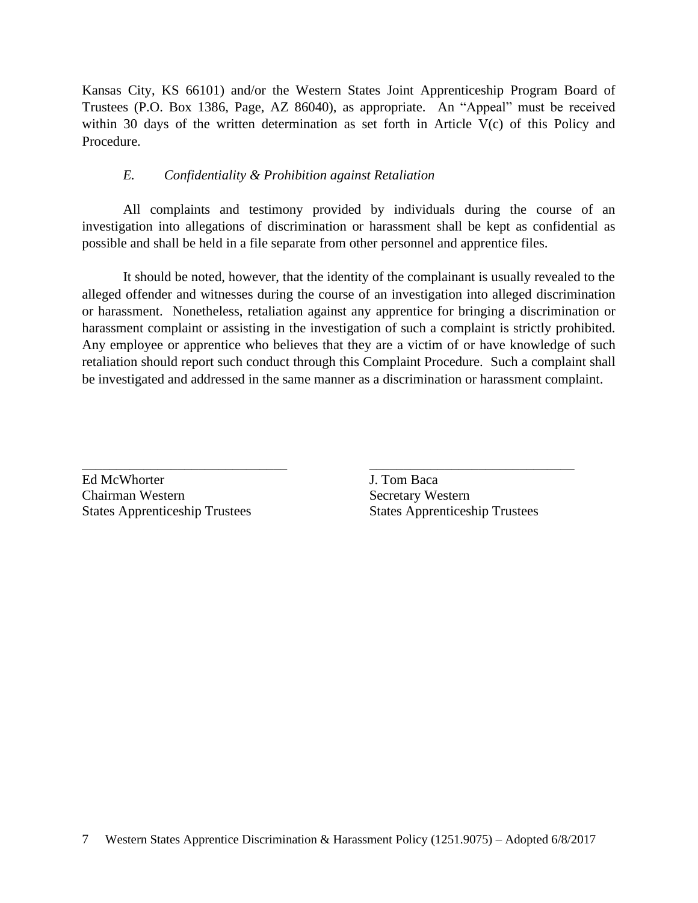Kansas City, KS 66101) and/or the Western States Joint Apprenticeship Program Board of Trustees (P.O. Box 1386, Page, AZ 86040), as appropriate. An "Appeal" must be received within 30 days of the written determination as set forth in Article V(c) of this Policy and Procedure.

## *E. Confidentiality & Prohibition against Retaliation*

All complaints and testimony provided by individuals during the course of an investigation into allegations of discrimination or harassment shall be kept as confidential as possible and shall be held in a file separate from other personnel and apprentice files.

It should be noted, however, that the identity of the complainant is usually revealed to the alleged offender and witnesses during the course of an investigation into alleged discrimination or harassment. Nonetheless, retaliation against any apprentice for bringing a discrimination or harassment complaint or assisting in the investigation of such a complaint is strictly prohibited. Any employee or apprentice who believes that they are a victim of or have knowledge of such retaliation should report such conduct through this Complaint Procedure. Such a complaint shall be investigated and addressed in the same manner as a discrimination or harassment complaint.

\_\_\_\_\_\_\_\_\_\_\_\_\_\_\_\_\_\_\_\_\_\_\_\_\_\_\_\_\_\_ \_\_\_\_\_\_\_\_\_\_\_\_\_\_\_\_\_\_\_\_\_\_\_\_\_\_\_\_\_\_

Ed McWhorter **J. Tom Baca Chairman Western Secretary Western** States Apprenticeship Trustees States Apprenticeship Trustees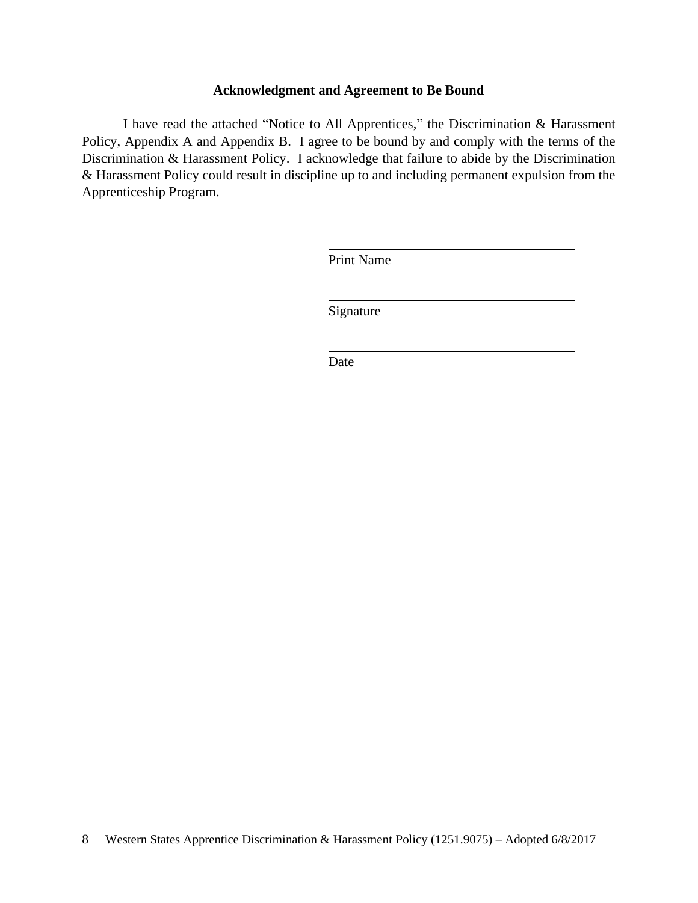#### **Acknowledgment and Agreement to Be Bound**

I have read the attached "Notice to All Apprentices," the Discrimination & Harassment Policy, Appendix A and Appendix B. I agree to be bound by and comply with the terms of the Discrimination & Harassment Policy. I acknowledge that failure to abide by the Discrimination & Harassment Policy could result in discipline up to and including permanent expulsion from the Apprenticeship Program.

Print Name

Signature

Date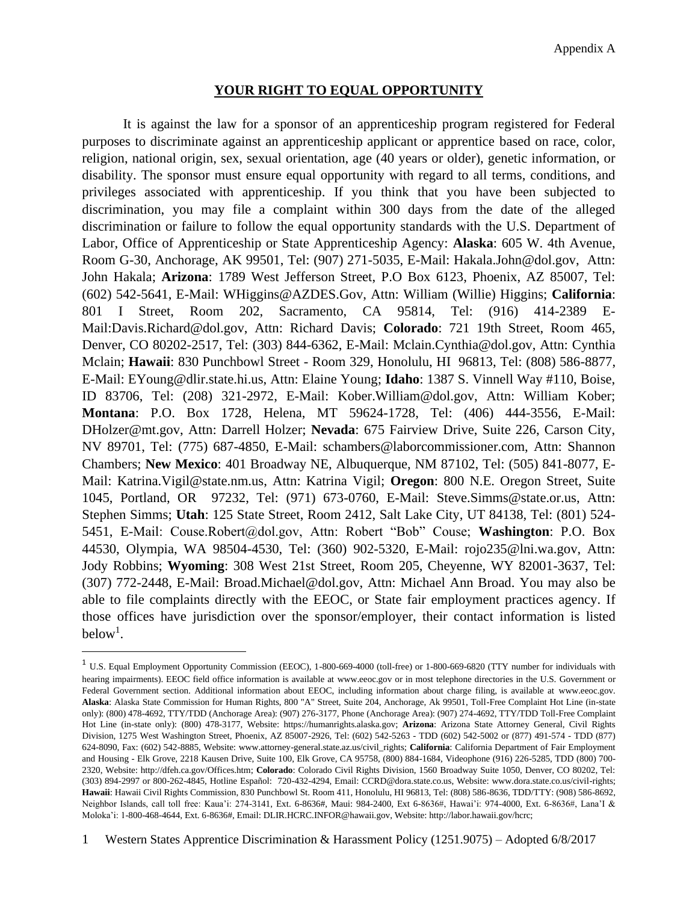#### **YOUR RIGHT TO EQUAL OPPORTUNITY**

It is against the law for a sponsor of an apprenticeship program registered for Federal purposes to discriminate against an apprenticeship applicant or apprentice based on race, color, religion, national origin, sex, sexual orientation, age (40 years or older), genetic information, or disability. The sponsor must ensure equal opportunity with regard to all terms, conditions, and privileges associated with apprenticeship. If you think that you have been subjected to discrimination, you may file a complaint within 300 days from the date of the alleged discrimination or failure to follow the equal opportunity standards with the U.S. Department of Labor, Office of Apprenticeship or State Apprenticeship Agency: **Alaska**: 605 W. 4th Avenue, Room G-30, Anchorage, AK 99501, Tel: (907) 271-5035, E-Mail: Hakala.John@dol.gov, Attn: John Hakala; **Arizona**: 1789 West Jefferson Street, P.O Box 6123, Phoenix, AZ 85007, Tel: (602) 542-5641, E-Mail: WHiggins@AZDES.Gov, Attn: William (Willie) Higgins; **California**: 801 I Street, Room 202, Sacramento, CA 95814, Tel: (916) 414-2389 E-Mail:Davis.Richard@dol.gov, Attn: Richard Davis; **Colorado**: 721 19th Street, Room 465, Denver, CO 80202-2517, Tel: (303) 844-6362, E-Mail: Mclain.Cynthia@dol.gov, Attn: Cynthia Mclain; **Hawaii**: 830 Punchbowl Street - Room 329, Honolulu, HI 96813, Tel: (808) 586-8877, E-Mail: EYoung@dlir.state.hi.us, Attn: Elaine Young; **Idaho**: 1387 S. Vinnell Way #110, Boise, ID 83706, Tel: (208) 321-2972, E-Mail: Kober.William@dol.gov, Attn: William Kober; **Montana**: P.O. Box 1728, Helena, MT 59624-1728, Tel: (406) 444-3556, E-Mail: DHolzer@mt.gov, Attn: Darrell Holzer; **Nevada**: 675 Fairview Drive, Suite 226, Carson City, NV 89701, Tel: (775) 687-4850, E-Mail: schambers@laborcommissioner.com, Attn: Shannon Chambers; **New Mexico**: 401 Broadway NE, Albuquerque, NM 87102, Tel: (505) 841-8077, E-Mail: Katrina.Vigil@state.nm.us, Attn: Katrina Vigil; **Oregon**: 800 N.E. Oregon Street, Suite 1045, Portland, OR 97232, Tel: (971) 673-0760, E-Mail: Steve.Simms@state.or.us, Attn: Stephen Simms; **Utah**: 125 State Street, Room 2412, Salt Lake City, UT 84138, Tel: (801) 524- 5451, E-Mail: Couse.Robert@dol.gov, Attn: Robert "Bob" Couse; **Washington**: P.O. Box 44530, Olympia, WA 98504-4530, Tel: (360) 902-5320, E-Mail: rojo235@lni.wa.gov, Attn: Jody Robbins; **Wyoming**: 308 West 21st Street, Room 205, Cheyenne, WY 82001-3637, Tel: (307) 772-2448, E-Mail: Broad.Michael@dol.gov, Attn: Michael Ann Broad. You may also be able to file complaints directly with the EEOC, or State fair employment practices agency. If those offices have jurisdiction over the sponsor/employer, their contact information is listed below<sup>1</sup>.

<sup>1</sup> U.S. Equal Employment Opportunity Commission (EEOC), 1-800-669-4000 (toll-free) or 1-800-669-6820 (TTY number for individuals with hearing impairments). EEOC field office information is available at www.eeoc.gov or in most telephone directories in the U.S. Government or Federal Government section. Additional information about EEOC, including information about charge filing, is available at www.eeoc.gov*.*  **Alaska**: Alaska State Commission for Human Rights, 800 "A" Street, Suite 204, Anchorage, Ak 99501, Toll-Free Complaint Hot Line (in-state only): (800) 478-4692, TTY/TDD (Anchorage Area): (907) 276-3177, Phone (Anchorage Area): (907) 274-4692, TTY/TDD Toll-Free Complaint Hot Line (in-state only): (800) 478-3177, Website: https://humanrights.alaska.gov; **Arizona**: Arizona State Attorney General, Civil Rights Division, 1275 West Washington Street, Phoenix, AZ 85007-2926, Tel: (602) 542-5263 - TDD (602) 542-5002 or (877) 491-574 - TDD (877) 624-8090, Fax: (602) 542-8885, Website: www.attorney-general.state.az.us/civil\_rights; **California**: California Department of Fair Employment and Housing - Elk Grove, 2218 Kausen Drive, Suite 100, Elk Grove, CA 95758, (800) 884-1684, Videophone (916) 226-5285, TDD (800) 700- 2320, Website: http://dfeh.ca.gov/Offices.htm; **Colorado**: Colorado Civil Rights Division, 1560 Broadway Suite 1050, Denver, CO 80202, Tel: (303) 894-2997 or 800-262-4845, Hotline Español: 720-432-4294, Email: CCRD@dora.state.co.us, Website: www.dora.state.co.us/civil-rights; **Hawaii**: Hawaii Civil Rights Commission, 830 Punchbowl St. Room 411, Honolulu, HI 96813, Tel: (808) 586-8636, TDD/TTY: (908) 586-8692, Neighbor Islands, call toll free: Kaua'i: 274-3141, Ext. 6-8636#, Maui: 984-2400, Ext 6-8636#, Hawai'i: 974-4000, Ext. 6-8636#, Lana'I & Moloka'i: 1-800-468-4644, Ext. 6-8636#, Email: DLIR.HCRC.INFOR@hawaii.gov, Website: http://labor.hawaii.gov/hcrc;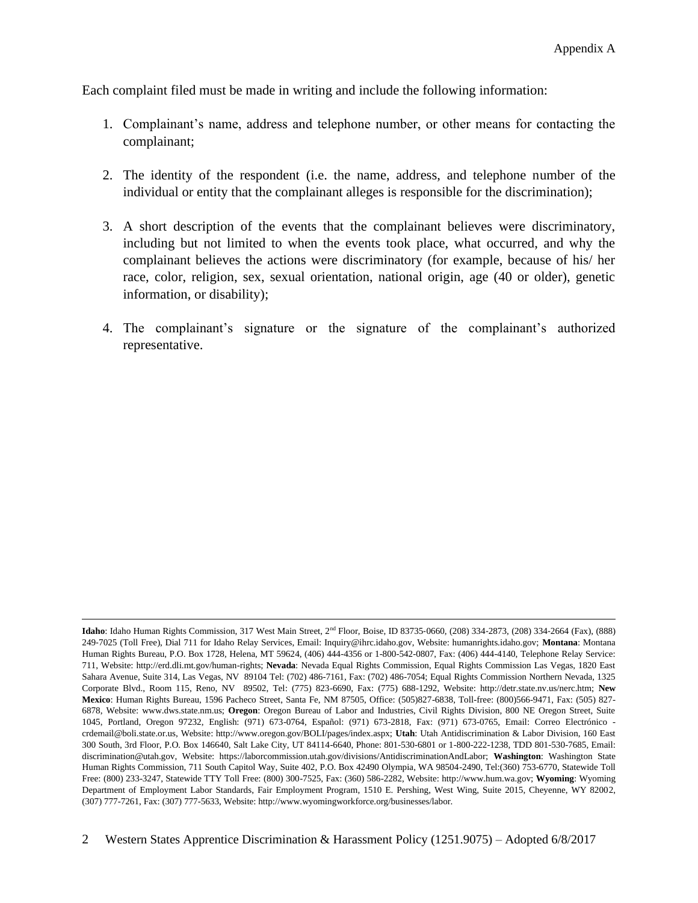Each complaint filed must be made in writing and include the following information:

- 1. Complainant's name, address and telephone number, or other means for contacting the complainant;
- 2. The identity of the respondent (i.e. the name, address, and telephone number of the individual or entity that the complainant alleges is responsible for the discrimination);
- 3. A short description of the events that the complainant believes were discriminatory, including but not limited to when the events took place, what occurred, and why the complainant believes the actions were discriminatory (for example, because of his/ her race, color, religion, sex, sexual orientation, national origin, age (40 or older), genetic information, or disability);
- 4. The complainant's signature or the signature of the complainant's authorized representative.

**Idaho**: Idaho Human Rights Commission, 317 West Main Street, 2nd Floor, Boise, ID 83735‐0660, (208) 334‐2873, (208) 334‐2664 (Fax), (888) 249‐7025 (Toll Free), Dial 711 for Idaho Relay Services, Email: Inquiry@ihrc.idaho.gov, Website: humanrights.idaho.gov; **Montana**: Montana Human Rights Bureau, P.O. Box 1728, Helena, MT 59624, (406) 444-4356 or 1-800-542-0807, Fax: (406) 444-4140, Telephone Relay Service: 711, Website: http://erd.dli.mt.gov/human-rights; **Nevada**: Nevada Equal Rights Commission, Equal Rights Commission Las Vegas, 1820 East Sahara Avenue, Suite 314, Las Vegas, NV 89104 Tel: (702) 486-7161, Fax: (702) 486-7054; Equal Rights Commission Northern Nevada, 1325 Corporate Blvd., Room 115, Reno, NV 89502, Tel: (775) 823-6690, Fax: (775) 688-1292, Website: http://detr.state.nv.us/nerc.htm; **New Mexico**: Human Rights Bureau, 1596 Pacheco Street, Santa Fe, NM 87505, Office: (505)827-6838, Toll-free: (800)566-9471, Fax: (505) 827- 6878, Website: www.dws.state.nm.us; **Oregon**: Oregon Bureau of Labor and Industries, Civil Rights Division, 800 NE Oregon Street, Suite 1045, Portland, Oregon 97232, English: (971) 673-0764, Español: (971) 673-2818, Fax: (971) 673-0765, Email: Correo Electrónico crdemail@boli.state.or.us, Website: http://www.oregon.gov/BOLI/pages/index.aspx; **Utah**: Utah Antidiscrimination & Labor Division, 160 East 300 South, 3rd Floor, P.O. Box 146640, Salt Lake City, UT 84114-6640, Phone: 801-530-6801 or 1-800-222-1238, TDD 801-530-7685, Email: discrimination@utah.gov, Website: https://laborcommission.utah.gov/divisions/AntidiscriminationAndLabor; **Washington**: Washington State Human Rights Commission, 711 South Capitol Way, Suite 402, P.O. Box 42490 Olympia, WA 98504-2490, Tel:(360) 753-6770, Statewide Toll Free: (800) 233-3247, Statewide TTY Toll Free: (800) 300-7525, Fax: (360) 586-2282, Website: http://www.hum.wa.gov; **Wyoming**: Wyoming Department of Employment Labor Standards, Fair Employment Program, 1510 E. Pershing, West Wing, Suite 2015, Cheyenne, WY 82002, (307) 777-7261, Fax: (307) 777-5633, Website: http://www.wyomingworkforce.org/businesses/labor.